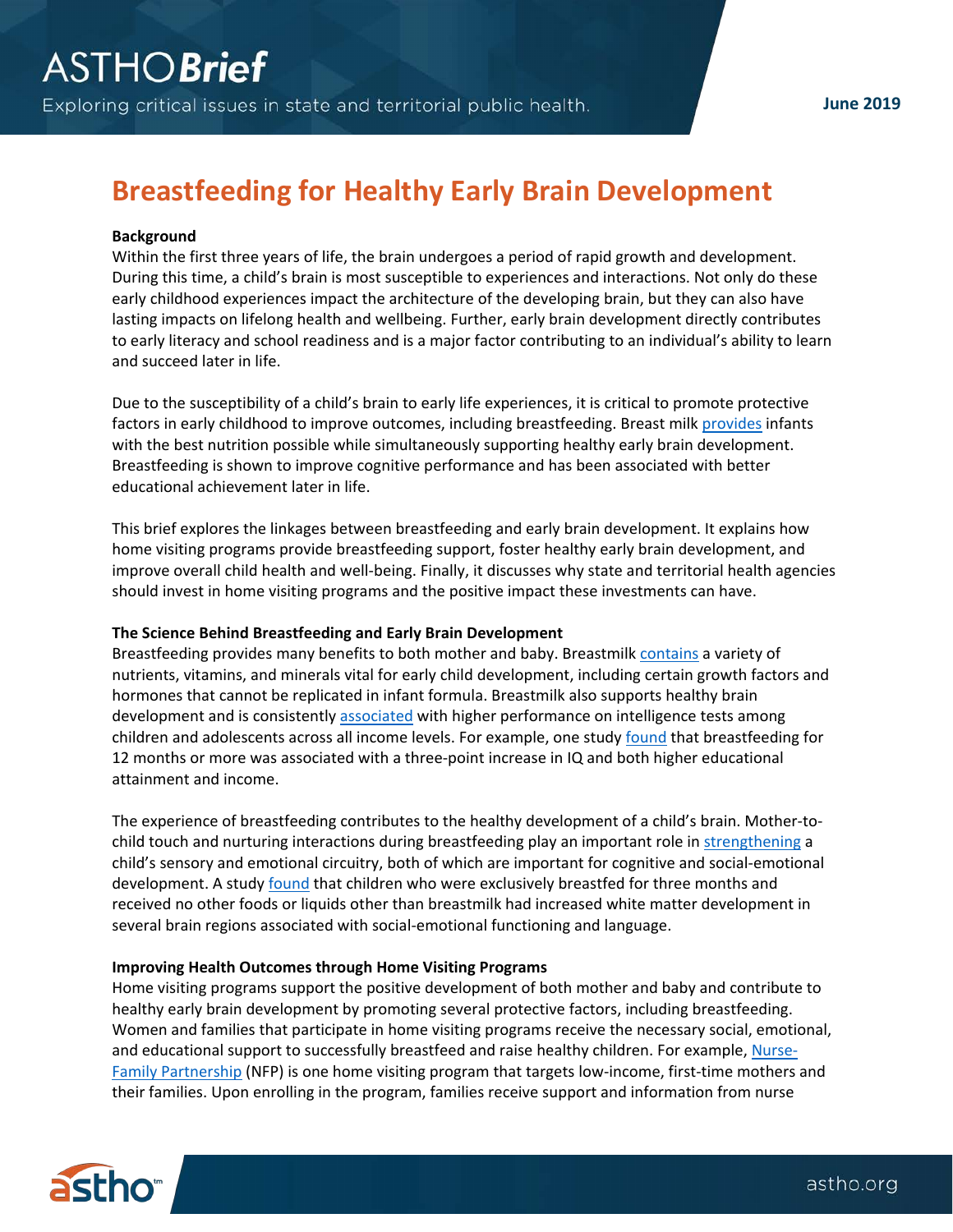# **Breastfeeding for Healthy Early Brain Development**

# **Background**

Within the first three years of life, the brain undergoes a period of rapid growth and development. During this time, a child's brain is most susceptible to experiences and interactions. Not only do these early childhood experiences impact the architecture of the developing brain, but they can also have lasting impacts on lifelong health and wellbeing. Further, early brain development directly contributes to early literacy and school readiness and is a major factor contributing to an individual's ability to learn and succeed later in life.

Due to the susceptibility of a child's brain to early life experiences, it is critical to promote protective factors in early childhood to improve outcomes, including breastfeeding. Breast milk [provides](https://www.unicef.org/media/files/UNICEF_Early_Moments_Matter_for_Every_Child_report.pdf) infants with the best nutrition possible while simultaneously supporting healthy early brain development. Breastfeeding is shown to improve cognitive performance and has been associated with better educational achievement later in life.

This brief explores the linkages between breastfeeding and early brain development. It explains how home visiting programs provide breastfeeding support, foster healthy early brain development, and improve overall child health and well-being. Finally, it discusses why state and territorial health agencies should invest in home visiting programs and the positive impact these investments can have.

# **The Science Behind Breastfeeding and Early Brain Development**

Breastfeeding provides many benefits to both mother and baby. Breastmilk [contains](https://www.unicef.org/nutrition/index_24824.html) a variety of nutrients, vitamins, and minerals vital for early child development, including certain growth factors and hormones that cannot be replicated in infant formula. Breastmilk also supports healthy brain development and is consistentl[y associated](https://www.who.int/pmnch/media/news/2016/breastfeeding_brief.pdf) with higher performance on intelligence tests among children and adolescents across all income levels. For example, one study [found](https://www.thelancet.com/journals/langlo/article/PIIS2214-109X(15)70002-1/fulltext) that breastfeeding for 12 months or more was associated with a three-point increase in IQ and both higher educational attainment and income.

The experience of breastfeeding contributes to the healthy development of a child's brain. Mother-tochild touch and nurturing interactions during breastfeeding play an important role in [strengthening](https://thousanddays.org/wp-content/uploads/1000Days-Nutrition_Brief_Brain-Think_Babies_FINAL.pdf) a child's sensory and emotional circuitry, both of which are important for cognitive and social-emotional development. A stud[y found](https://www.ncbi.nlm.nih.gov/pubmed/23721722) that children who were exclusively breastfed for three months and received no other foods or liquids other than breastmilk had increased white matter development in several brain regions associated with social-emotional functioning and language.

# **Improving Health Outcomes through Home Visiting Programs**

Home visiting programs support the positive development of both mother and baby and contribute to healthy early brain development by promoting several protective factors, including breastfeeding. Women and families that participate in home visiting programs receive the necessary social, emotional, and educational support to successfully breastfeed and raise healthy children. For example, [Nurse-](https://www.nursefamilypartnership.org/)[Family Partnership](https://www.nursefamilypartnership.org/) (NFP) is one home visiting program that targets low-income, first-time mothers and their families. Upon enrolling in the program, families receive support and information from nurse